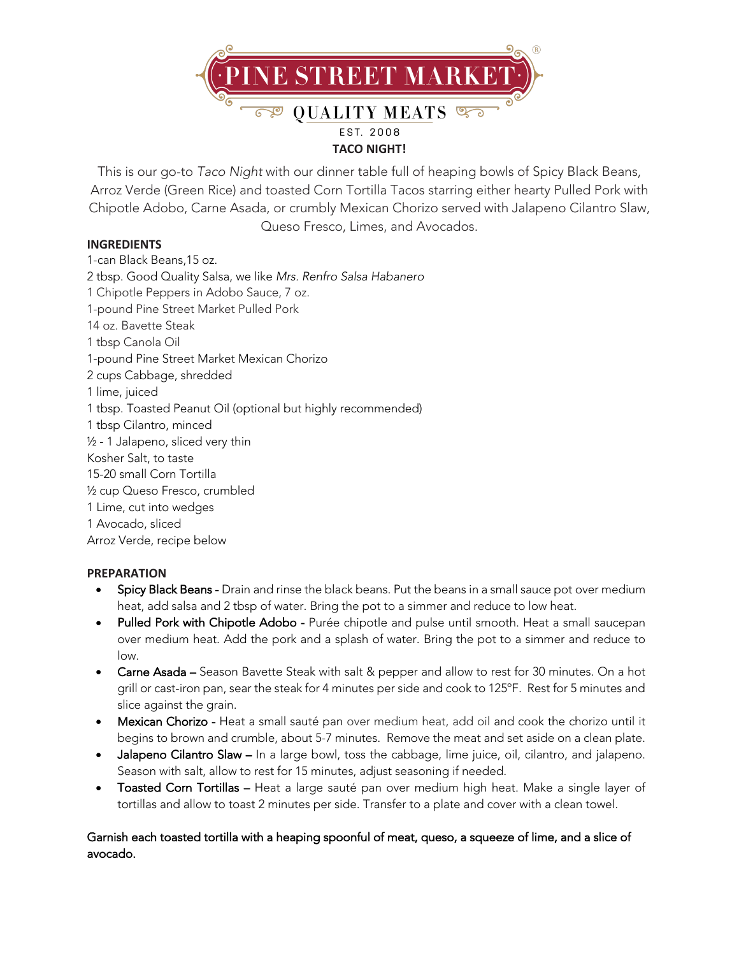

This is our go-to *Taco Night* with our dinner table full of heaping bowls of Spicy Black Beans, Arroz Verde (Green Rice) and toasted Corn Tortilla Tacos starring either hearty Pulled Pork with Chipotle Adobo, Carne Asada, or crumbly Mexican Chorizo served with Jalapeno Cilantro Slaw, Queso Fresco, Limes, and Avocados.

## **INGREDIENTS**

1-can Black Beans,15 oz. 2 tbsp. Good Quality Salsa, we like *Mrs. Renfro Salsa Habanero* 1 Chipotle Peppers in Adobo Sauce, 7 oz. 1-pound Pine Street Market Pulled Pork 14 oz. Bavette Steak 1 tbsp Canola Oil 1-pound Pine Street Market Mexican Chorizo 2 cups Cabbage, shredded 1 lime, juiced 1 tbsp. Toasted Peanut Oil (optional but highly recommended) 1 tbsp Cilantro, minced ½ - 1 Jalapeno, sliced very thin Kosher Salt, to taste 15-20 small Corn Tortilla ½ cup Queso Fresco, crumbled 1 Lime, cut into wedges 1 Avocado, sliced Arroz Verde, recipe below

## **PREPARATION**

- Spicy Black Beans Drain and rinse the black beans. Put the beans in a small sauce pot over medium heat, add salsa and 2 tbsp of water. Bring the pot to a simmer and reduce to low heat.
- Pulled Pork with Chipotle Adobo Purée chipotle and pulse until smooth. Heat a small saucepan over medium heat. Add the pork and a splash of water. Bring the pot to a simmer and reduce to low.
- Carne Asada Season Bavette Steak with salt & pepper and allow to rest for 30 minutes. On a hot grill or cast-iron pan, sear the steak for 4 minutes per side and cook to 125ºF. Rest for 5 minutes and slice against the grain.
- Mexican Chorizo Heat a small sauté pan over medium heat, add oil and cook the chorizo until it begins to brown and crumble, about 5-7 minutes. Remove the meat and set aside on a clean plate.
- Jalapeno Cilantro Slaw In a large bowl, toss the cabbage, lime juice, oil, cilantro, and jalapeno. Season with salt, allow to rest for 15 minutes, adjust seasoning if needed.
- Toasted Corn Tortillas Heat a large sauté pan over medium high heat. Make a single layer of tortillas and allow to toast 2 minutes per side. Transfer to a plate and cover with a clean towel.

# Garnish each toasted tortilla with a heaping spoonful of meat, queso, a squeeze of lime, and a slice of avocado.